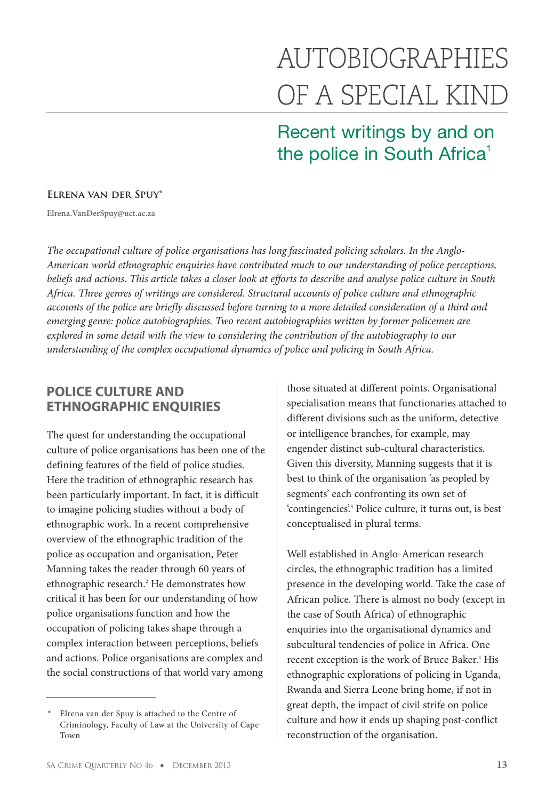# AUTOBIOGRAPHIES OF A SPECIAL KIND

Recent writings by and on the police in South Africa<sup>1</sup>

#### **Elrena van der Spuy\***

**Elrena.VanDerSpuy@uct.ac.za**

*The occupational culture of police organisations has long fascinated policing scholars. In the Anglo-American world ethnographic enquiries have contributed much to our understanding of police perceptions, beliefs and actions. This article takes a closer look at efforts to describe and analyse police culture in South Africa. Three genres of writings are considered. Structural accounts of police culture and ethnographic accounts of the police are briefly discussed before turning to a more detailed consideration of a third and emerging genre: police autobiographies. Two recent autobiographies written by former policemen are explored in some detail with the view to considering the contribution of the autobiography to our understanding of the complex occupational dynamics of police and policing in South Africa.* 

## **POLICE CULTURE AND ETHNOGRAPHIC ENQUIRIES**

The quest for understanding the occupational culture of police organisations has been one of the defining features of the field of police studies. Here the tradition of ethnographic research has been particularly important. In fact, it is difficult to imagine policing studies without a body of ethnographic work. In a recent comprehensive overview of the ethnographic tradition of the police as occupation and organisation, Peter Manning takes the reader through 60 years of ethnographic research.<sup>2</sup> He demonstrates how critical it has been for our understanding of how police organisations function and how the occupation of policing takes shape through a complex interaction between perceptions, beliefs and actions. Police organisations are complex and the social constructions of that world vary among

those situated at different points. Organisational specialisation means that functionaries attached to different divisions such as the uniform, detective or intelligence branches, for example, may engender distinct sub-cultural characteristics. Given this diversity, Manning suggests that it is best to think of the organisation 'as peopled by segments' each confronting its own set of 'contingencies'.3 Police culture, it turns out, is best conceptualised in plural terms.

Well established in Anglo-American research circles, the ethnographic tradition has a limited presence in the developing world. Take the case of African police. There is almost no body (except in the case of South Africa) of ethnographic enquiries into the organisational dynamics and subcultural tendencies of police in Africa. One recent exception is the work of Bruce Baker.<sup>4</sup> His ethnographic explorations of policing in Uganda, Rwanda and Sierra Leone bring home, if not in great depth, the impact of civil strife on police culture and how it ends up shaping post-conflict reconstruction of the organisation.

Elrena van der Spuy is attached to the Centre of Criminology, Faculty of Law at the University of Cape Town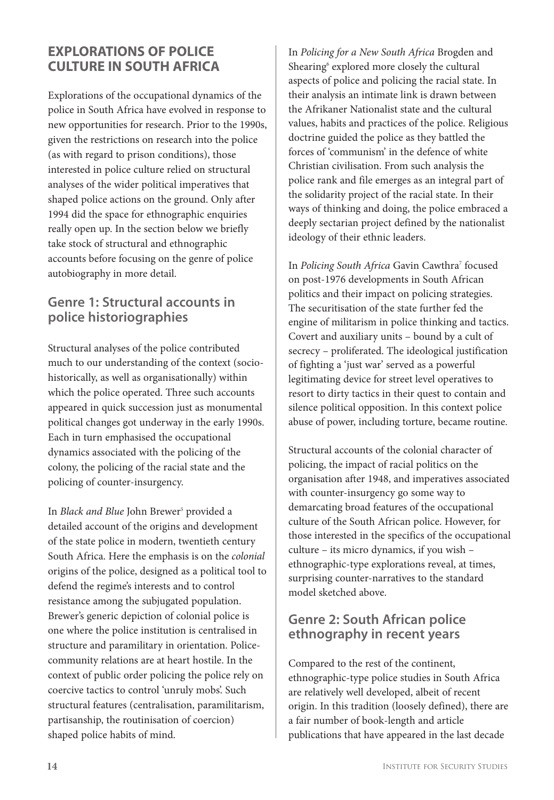## **EXPLORATIONS OF POLICE CULTURE IN SOUTH AFRICA**

Explorations of the occupational dynamics of the police in South Africa have evolved in response to new opportunities for research. Prior to the 1990s, given the restrictions on research into the police (as with regard to prison conditions), those interested in police culture relied on structural analyses of the wider political imperatives that shaped police actions on the ground. Only after 1994 did the space for ethnographic enquiries really open up. In the section below we briefly take stock of structural and ethnographic accounts before focusing on the genre of police autobiography in more detail.

## **Genre 1: Structural accounts in police historiographies**

Structural analyses of the police contributed much to our understanding of the context (sociohistorically, as well as organisationally) within which the police operated. Three such accounts appeared in quick succession just as monumental political changes got underway in the early 1990s. Each in turn emphasised the occupational dynamics associated with the policing of the colony, the policing of the racial state and the policing of counter-insurgency.

In *Black and Blue* John Brewer<sup>5</sup> provided a detailed account of the origins and development of the state police in modern, twentieth century South Africa. Here the emphasis is on the *colonial* origins of the police, designed as a political tool to defend the regime's interests and to control resistance among the subjugated population. Brewer's generic depiction of colonial police is one where the police institution is centralised in structure and paramilitary in orientation. Policecommunity relations are at heart hostile. In the context of public order policing the police rely on coercive tactics to control 'unruly mobs'. Such structural features (centralisation, paramilitarism, partisanship, the routinisation of coercion) shaped police habits of mind.

In *Policing for a New South Africa* Brogden and Shearing<sup>6</sup> explored more closely the cultural aspects of police and policing the racial state. In their analysis an intimate link is drawn between the Afrikaner Nationalist state and the cultural values, habits and practices of the police. Religious doctrine guided the police as they battled the forces of 'communism' in the defence of white Christian civilisation. From such analysis the police rank and file emerges as an integral part of the solidarity project of the racial state. In their ways of thinking and doing, the police embraced a deeply sectarian project defined by the nationalist ideology of their ethnic leaders.

In *Policing South Africa Gavin Cawthra<sup>7</sup> focused* on post-1976 developments in South African politics and their impact on policing strategies. The securitisation of the state further fed the engine of militarism in police thinking and tactics. Covert and auxiliary units – bound by a cult of secrecy – proliferated. The ideological justification of fighting a 'just war' served as a powerful legitimating device for street level operatives to resort to dirty tactics in their quest to contain and silence political opposition. In this context police abuse of power, including torture, became routine.

Structural accounts of the colonial character of policing, the impact of racial politics on the organisation after 1948, and imperatives associated with counter-insurgency go some way to demarcating broad features of the occupational culture of the South African police. However, for those interested in the specifics of the occupational culture – its micro dynamics, if you wish – ethnographic-type explorations reveal, at times, surprising counter-narratives to the standard model sketched above.

## **Genre 2: South African police ethnography in recent years**

Compared to the rest of the continent, ethnographic-type police studies in South Africa are relatively well developed, albeit of recent origin. In this tradition (loosely defined), there are a fair number of book-length and article publications that have appeared in the last decade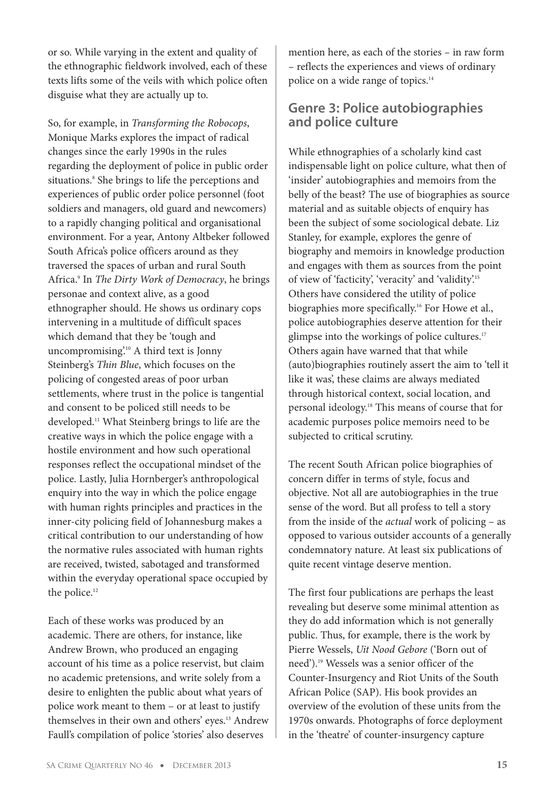or so. While varying in the extent and quality of the ethnographic fieldwork involved, each of these texts lifts some of the veils with which police often disguise what they are actually up to.

So, for example, in *Transforming the Robocops*, Monique Marks explores the impact of radical changes since the early 1990s in the rules regarding the deployment of police in public order situations.<sup>8</sup> She brings to life the perceptions and experiences of public order police personnel (foot soldiers and managers, old guard and newcomers) to a rapidly changing political and organisational environment. For a year, Antony Altbeker followed South Africa's police officers around as they traversed the spaces of urban and rural South Africa.9 In *The Dirty Work of Democracy*, he brings personae and context alive, as a good ethnographer should. He shows us ordinary cops intervening in a multitude of difficult spaces which demand that they be 'tough and uncompromising'.10 A third text is Jonny Steinberg's *Thin Blue*, which focuses on the policing of congested areas of poor urban settlements, where trust in the police is tangential and consent to be policed still needs to be developed.11 What Steinberg brings to life are the creative ways in which the police engage with a hostile environment and how such operational responses reflect the occupational mindset of the police. Lastly, Julia Hornberger's anthropological enquiry into the way in which the police engage with human rights principles and practices in the inner-city policing field of Johannesburg makes a critical contribution to our understanding of how the normative rules associated with human rights are received, twisted, sabotaged and transformed within the everyday operational space occupied by the police.<sup>12</sup>

Each of these works was produced by an academic. There are others, for instance, like Andrew Brown, who produced an engaging account of his time as a police reservist, but claim no academic pretensions, and write solely from a desire to enlighten the public about what years of police work meant to them – or at least to justify themselves in their own and others' eyes.<sup>13</sup> Andrew Faull's compilation of police 'stories' also deserves

mention here, as each of the stories – in raw form – reflects the experiences and views of ordinary police on a wide range of topics.<sup>14</sup>

### **Genre 3: Police autobiographies and police culture**

While ethnographies of a scholarly kind cast indispensable light on police culture, what then of 'insider' autobiographies and memoirs from the belly of the beast? The use of biographies as source material and as suitable objects of enquiry has been the subject of some sociological debate. Liz Stanley, for example, explores the genre of biography and memoirs in knowledge production and engages with them as sources from the point of view of 'facticity', 'veracity' and 'validity'.15 Others have considered the utility of police biographies more specifically.<sup>16</sup> For Howe et al., police autobiographies deserve attention for their glimpse into the workings of police cultures.<sup>17</sup> Others again have warned that that while (auto)biographies routinely assert the aim to 'tell it like it was', these claims are always mediated through historical context, social location, and personal ideology.18 This means of course that for academic purposes police memoirs need to be subjected to critical scrutiny.

The recent South African police biographies of concern differ in terms of style, focus and objective. Not all are autobiographies in the true sense of the word. But all profess to tell a story from the inside of the *actual* work of policing – as opposed to various outsider accounts of a generally condemnatory nature. At least six publications of quite recent vintage deserve mention.

The first four publications are perhaps the least revealing but deserve some minimal attention as they do add information which is not generally public. Thus, for example, there is the work by Pierre Wessels, *Uit Nood Gebore* ('Born out of need').19 Wessels was a senior officer of the Counter-Insurgency and Riot Units of the South African Police (SAP). His book provides an overview of the evolution of these units from the 1970s onwards. Photographs of force deployment in the 'theatre' of counter-insurgency capture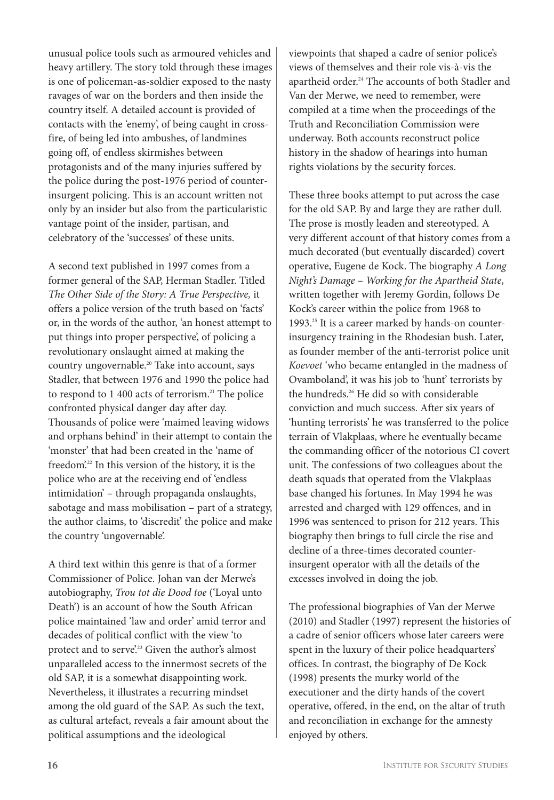unusual police tools such as armoured vehicles and heavy artillery. The story told through these images is one of policeman-as-soldier exposed to the nasty ravages of war on the borders and then inside the country itself. A detailed account is provided of contacts with the 'enemy', of being caught in crossfire, of being led into ambushes, of landmines going off, of endless skirmishes between protagonists and of the many injuries suffered by the police during the post-1976 period of counterinsurgent policing. This is an account written not only by an insider but also from the particularistic vantage point of the insider, partisan, and celebratory of the 'successes' of these units.

A second text published in 1997 comes from a former general of the SAP, Herman Stadler. Titled *The Other Side of the Story: A True Perspective,* it offers a police version of the truth based on 'facts' or, in the words of the author, 'an honest attempt to put things into proper perspective', of policing a revolutionary onslaught aimed at making the country ungovernable.20 Take into account, says Stadler, that between 1976 and 1990 the police had to respond to  $1\,400$  acts of terrorism.<sup>21</sup> The police confronted physical danger day after day. Thousands of police were 'maimed leaving widows and orphans behind' in their attempt to contain the 'monster' that had been created in the 'name of freedom'. <sup>22</sup> In this version of the history, it is the police who are at the receiving end of 'endless intimidation' – through propaganda onslaughts, sabotage and mass mobilisation – part of a strategy, the author claims, to 'discredit' the police and make the country 'ungovernable'.

A third text within this genre is that of a former Commissioner of Police. Johan van der Merwe's autobiography, *Trou tot die Dood toe* ('Loyal unto Death') is an account of how the South African police maintained 'law and order' amid terror and decades of political conflict with the view 'to protect and to serve.<sup>23</sup> Given the author's almost unparalleled access to the innermost secrets of the old SAP, it is a somewhat disappointing work. Nevertheless, it illustrates a recurring mindset among the old guard of the SAP. As such the text, as cultural artefact, reveals a fair amount about the political assumptions and the ideological

viewpoints that shaped a cadre of senior police's views of themselves and their role vis-à-vis the apartheid order.<sup>24</sup> The accounts of both Stadler and Van der Merwe, we need to remember, were compiled at a time when the proceedings of the Truth and Reconciliation Commission were underway. Both accounts reconstruct police history in the shadow of hearings into human rights violations by the security forces.

These three books attempt to put across the case for the old SAP. By and large they are rather dull. The prose is mostly leaden and stereotyped. A very different account of that history comes from a much decorated (but eventually discarded) covert operative, Eugene de Kock. The biography *A Long Night's Damage – Working for the Apartheid State*, written together with Jeremy Gordin, follows De Kock's career within the police from 1968 to 1993.<sup>25</sup> It is a career marked by hands-on counterinsurgency training in the Rhodesian bush. Later, as founder member of the anti-terrorist police unit *Koevoet* 'who became entangled in the madness of Ovamboland', it was his job to 'hunt' terrorists by the hundreds.<sup>26</sup> He did so with considerable conviction and much success. After six years of 'hunting terrorists' he was transferred to the police terrain of Vlakplaas, where he eventually became the commanding officer of the notorious CI covert unit. The confessions of two colleagues about the death squads that operated from the Vlakplaas base changed his fortunes. In May 1994 he was arrested and charged with 129 offences, and in 1996 was sentenced to prison for 212 years. This biography then brings to full circle the rise and decline of a three-times decorated counterinsurgent operator with all the details of the excesses involved in doing the job.

The professional biographies of Van der Merwe (2010) and Stadler (1997) represent the histories of a cadre of senior officers whose later careers were spent in the luxury of their police headquarters' offices. In contrast, the biography of De Kock (1998) presents the murky world of the executioner and the dirty hands of the covert operative, offered, in the end, on the altar of truth and reconciliation in exchange for the amnesty enjoyed by others.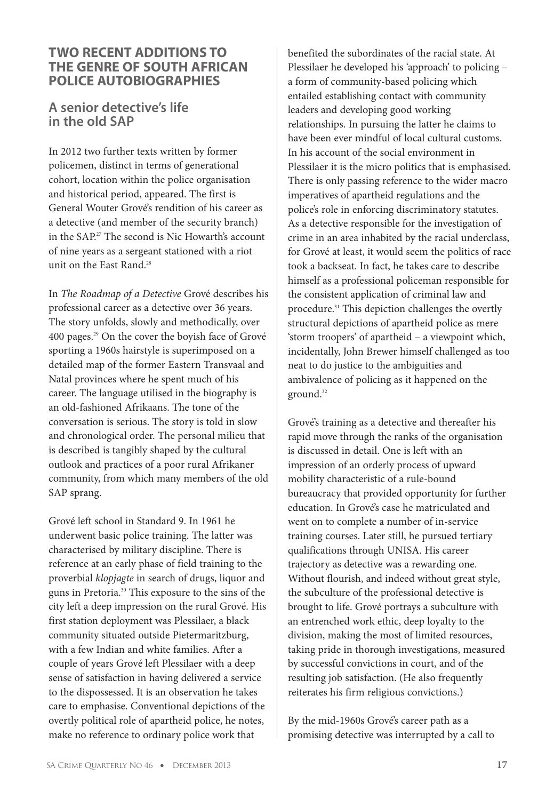#### **TWO RECENT ADDITIONS TO THE GENRE OF SOUTH AFRICAN POLICE AUTOBIOGRAPHIES**

### **A senior detective's life in the old SAP**

In 2012 two further texts written by former policemen, distinct in terms of generational cohort, location within the police organisation and historical period, appeared. The first is General Wouter Grové's rendition of his career as a detective (and member of the security branch) in the SAP.27 The second is Nic Howarth's account of nine years as a sergeant stationed with a riot unit on the East Rand.<sup>28</sup>

In *The Roadmap of a Detective* Grové describes his professional career as a detective over 36 years. The story unfolds, slowly and methodically, over 400 pages.29 On the cover the boyish face of Grové sporting a 1960s hairstyle is superimposed on a detailed map of the former Eastern Transvaal and Natal provinces where he spent much of his career. The language utilised in the biography is an old-fashioned Afrikaans. The tone of the conversation is serious. The story is told in slow and chronological order. The personal milieu that is described is tangibly shaped by the cultural outlook and practices of a poor rural Afrikaner community, from which many members of the old SAP sprang.

Grové left school in Standard 9. In 1961 he underwent basic police training. The latter was characterised by military discipline. There is reference at an early phase of field training to the proverbial *klopjagte* in search of drugs, liquor and guns in Pretoria.30 This exposure to the sins of the city left a deep impression on the rural Grové. His first station deployment was Plessilaer, a black community situated outside Pietermaritzburg, with a few Indian and white families. After a couple of years Grové left Plessilaer with a deep sense of satisfaction in having delivered a service to the dispossessed. It is an observation he takes care to emphasise. Conventional depictions of the overtly political role of apartheid police, he notes, make no reference to ordinary police work that

benefited the subordinates of the racial state. At Plessilaer he developed his 'approach' to policing – a form of community-based policing which entailed establishing contact with community leaders and developing good working relationships. In pursuing the latter he claims to have been ever mindful of local cultural customs. In his account of the social environment in Plessilaer it is the micro politics that is emphasised. There is only passing reference to the wider macro imperatives of apartheid regulations and the police's role in enforcing discriminatory statutes. As a detective responsible for the investigation of crime in an area inhabited by the racial underclass, for Grové at least, it would seem the politics of race took a backseat. In fact, he takes care to describe himself as a professional policeman responsible for the consistent application of criminal law and procedure.<sup>31</sup> This depiction challenges the overtly structural depictions of apartheid police as mere 'storm troopers' of apartheid – a viewpoint which, incidentally, John Brewer himself challenged as too neat to do justice to the ambiguities and ambivalence of policing as it happened on the ground.<sup>32</sup>

Grové's training as a detective and thereafter his rapid move through the ranks of the organisation is discussed in detail. One is left with an impression of an orderly process of upward mobility characteristic of a rule-bound bureaucracy that provided opportunity for further education. In Grové's case he matriculated and went on to complete a number of in-service training courses. Later still, he pursued tertiary qualifications through UNISA. His career trajectory as detective was a rewarding one. Without flourish, and indeed without great style, the subculture of the professional detective is brought to life. Grové portrays a subculture with an entrenched work ethic, deep loyalty to the division, making the most of limited resources, taking pride in thorough investigations, measured by successful convictions in court, and of the resulting job satisfaction. (He also frequently reiterates his firm religious convictions.)

By the mid-1960s Grové's career path as a promising detective was interrupted by a call to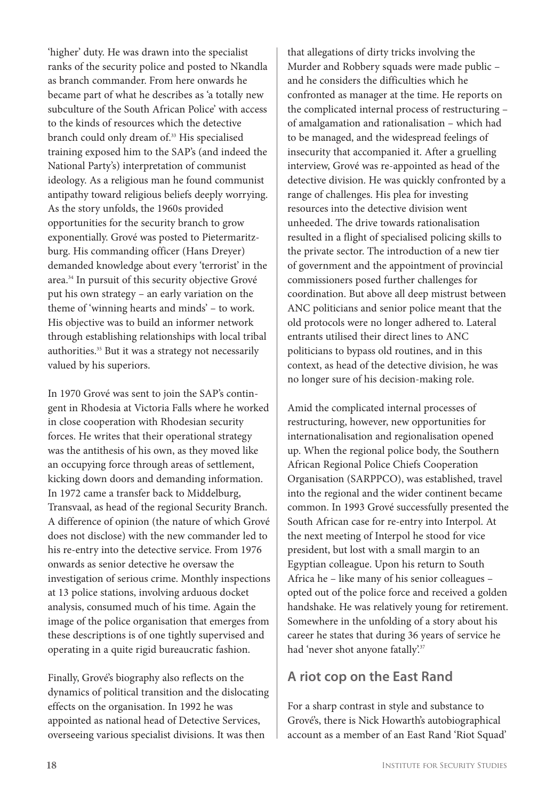'higher' duty. He was drawn into the specialist ranks of the security police and posted to Nkandla as branch commander. From here onwards he became part of what he describes as 'a totally new subculture of the South African Police' with access to the kinds of resources which the detective branch could only dream of.<sup>33</sup> His specialised training exposed him to the SAP's (and indeed the National Party's) interpretation of communist ideology. As a religious man he found communist antipathy toward religious beliefs deeply worrying. As the story unfolds, the 1960s provided opportunities for the security branch to grow exponentially. Grové was posted to Pietermaritzburg. His commanding officer (Hans Dreyer) demanded knowledge about every 'terrorist' in the area.34 In pursuit of this security objective Grové put his own strategy – an early variation on the theme of 'winning hearts and minds' – to work. His objective was to build an informer network through establishing relationships with local tribal authorities.<sup>35</sup> But it was a strategy not necessarily valued by his superiors.

In 1970 Grové was sent to join the SAP's contingent in Rhodesia at Victoria Falls where he worked in close cooperation with Rhodesian security forces. He writes that their operational strategy was the antithesis of his own, as they moved like an occupying force through areas of settlement, kicking down doors and demanding information. In 1972 came a transfer back to Middelburg, Transvaal, as head of the regional Security Branch. A difference of opinion (the nature of which Grové does not disclose) with the new commander led to his re-entry into the detective service. From 1976 onwards as senior detective he oversaw the investigation of serious crime. Monthly inspections at 13 police stations, involving arduous docket analysis, consumed much of his time. Again the image of the police organisation that emerges from these descriptions is of one tightly supervised and operating in a quite rigid bureaucratic fashion.

Finally, Grové's biography also reflects on the dynamics of political transition and the dislocating effects on the organisation. In 1992 he was appointed as national head of Detective Services, overseeing various specialist divisions. It was then

that allegations of dirty tricks involving the Murder and Robbery squads were made public – and he considers the difficulties which he confronted as manager at the time. He reports on the complicated internal process of restructuring – of amalgamation and rationalisation – which had to be managed, and the widespread feelings of insecurity that accompanied it. After a gruelling interview, Grové was re-appointed as head of the detective division. He was quickly confronted by a range of challenges. His plea for investing resources into the detective division went unheeded. The drive towards rationalisation resulted in a flight of specialised policing skills to the private sector. The introduction of a new tier of government and the appointment of provincial commissioners posed further challenges for coordination. But above all deep mistrust between ANC politicians and senior police meant that the old protocols were no longer adhered to. Lateral entrants utilised their direct lines to ANC politicians to bypass old routines, and in this context, as head of the detective division, he was no longer sure of his decision-making role.

Amid the complicated internal processes of restructuring, however, new opportunities for internationalisation and regionalisation opened up. When the regional police body, the Southern African Regional Police Chiefs Cooperation Organisation (SARPPCO), was established, travel into the regional and the wider continent became common. In 1993 Grové successfully presented the South African case for re-entry into Interpol. At the next meeting of Interpol he stood for vice president, but lost with a small margin to an Egyptian colleague. Upon his return to South Africa he – like many of his senior colleagues – opted out of the police force and received a golden handshake. He was relatively young for retirement. Somewhere in the unfolding of a story about his career he states that during 36 years of service he had 'never shot anyone fatally'.<sup>37</sup>

## **A riot cop on the East Rand**

For a sharp contrast in style and substance to Grové's, there is Nick Howarth's autobiographical account as a member of an East Rand 'Riot Squad'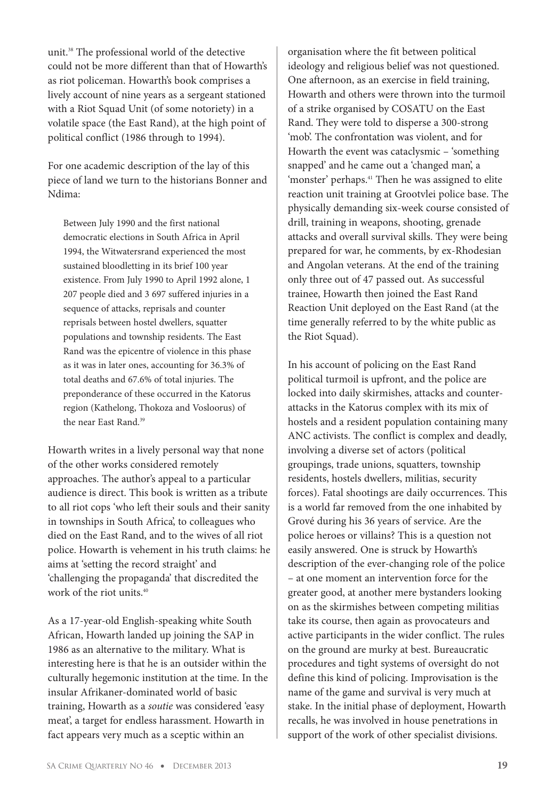unit.38 The professional world of the detective could not be more different than that of Howarth's as riot policeman. Howarth's book comprises a lively account of nine years as a sergeant stationed with a Riot Squad Unit (of some notoriety) in a volatile space (the East Rand), at the high point of political conflict (1986 through to 1994).

For one academic description of the lay of this piece of land we turn to the historians Bonner and Ndima:

Between July 1990 and the first national democratic elections in South Africa in April 1994, the Witwatersrand experienced the most sustained bloodletting in its brief 100 year existence. From July 1990 to April 1992 alone, 1 207 people died and 3 697 suffered injuries in a sequence of attacks, reprisals and counter reprisals between hostel dwellers, squatter populations and township residents. The East Rand was the epicentre of violence in this phase as it was in later ones, accounting for 36.3% of total deaths and 67.6% of total injuries. The preponderance of these occurred in the Katorus region (Kathelong, Thokoza and Vosloorus) of the near East Rand.39

Howarth writes in a lively personal way that none of the other works considered remotely approaches. The author's appeal to a particular audience is direct. This book is written as a tribute to all riot cops 'who left their souls and their sanity in townships in South Africa', to colleagues who died on the East Rand, and to the wives of all riot police. Howarth is vehement in his truth claims: he aims at 'setting the record straight' and 'challenging the propaganda' that discredited the work of the riot units.<sup>40</sup>

As a 17-year-old English-speaking white South African, Howarth landed up joining the SAP in 1986 as an alternative to the military. What is interesting here is that he is an outsider within the culturally hegemonic institution at the time. In the insular Afrikaner-dominated world of basic training, Howarth as a *soutie* was considered 'easy meat', a target for endless harassment. Howarth in fact appears very much as a sceptic within an

organisation where the fit between political ideology and religious belief was not questioned. One afternoon, as an exercise in field training, Howarth and others were thrown into the turmoil of a strike organised by COSATU on the East Rand. They were told to disperse a 300-strong 'mob'. The confrontation was violent, and for Howarth the event was cataclysmic – 'something snapped' and he came out a 'changed man', a 'monster' perhaps.<sup>41</sup> Then he was assigned to elite reaction unit training at Grootvlei police base. The physically demanding six-week course consisted of drill, training in weapons, shooting, grenade attacks and overall survival skills. They were being prepared for war, he comments, by ex-Rhodesian and Angolan veterans. At the end of the training only three out of 47 passed out. As successful trainee, Howarth then joined the East Rand Reaction Unit deployed on the East Rand (at the time generally referred to by the white public as the Riot Squad).

In his account of policing on the East Rand political turmoil is upfront, and the police are locked into daily skirmishes, attacks and counterattacks in the Katorus complex with its mix of hostels and a resident population containing many ANC activists. The conflict is complex and deadly, involving a diverse set of actors (political groupings, trade unions, squatters, township residents, hostels dwellers, militias, security forces). Fatal shootings are daily occurrences. This is a world far removed from the one inhabited by Grové during his 36 years of service. Are the police heroes or villains? This is a question not easily answered. One is struck by Howarth's description of the ever-changing role of the police – at one moment an intervention force for the greater good, at another mere bystanders looking on as the skirmishes between competing militias take its course, then again as provocateurs and active participants in the wider conflict. The rules on the ground are murky at best. Bureaucratic procedures and tight systems of oversight do not define this kind of policing. Improvisation is the name of the game and survival is very much at stake. In the initial phase of deployment, Howarth recalls, he was involved in house penetrations in support of the work of other specialist divisions.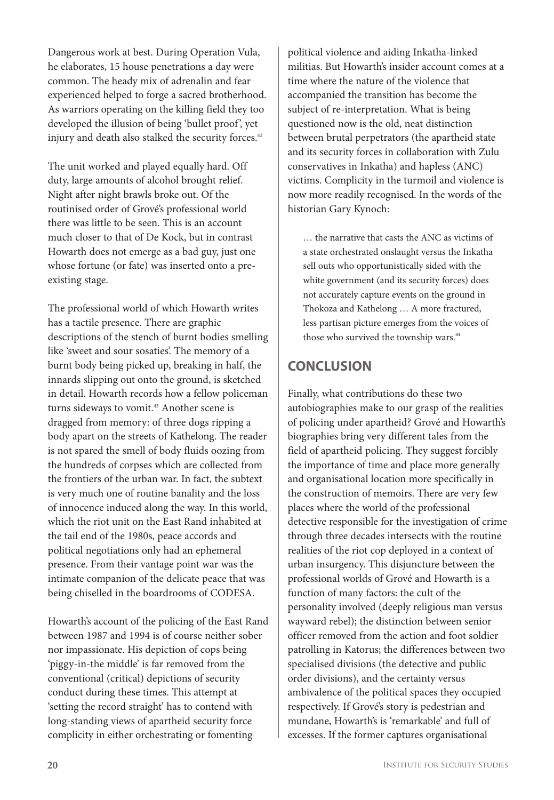Dangerous work at best. During Operation Vula, he elaborates, 15 house penetrations a day were common. The heady mix of adrenalin and fear experienced helped to forge a sacred brotherhood. As warriors operating on the killing field they too developed the illusion of being 'bullet proof', yet injury and death also stalked the security forces.<sup>42</sup>

The unit worked and played equally hard. Off duty, large amounts of alcohol brought relief. Night after night brawls broke out. Of the routinised order of Grové's professional world there was little to be seen. This is an account much closer to that of De Kock, but in contrast Howarth does not emerge as a bad guy, just one whose fortune (or fate) was inserted onto a preexisting stage.

The professional world of which Howarth writes has a tactile presence. There are graphic descriptions of the stench of burnt bodies smelling like 'sweet and sour sosaties'. The memory of a burnt body being picked up, breaking in half, the innards slipping out onto the ground, is sketched in detail. Howarth records how a fellow policeman turns sideways to vomit.<sup>43</sup> Another scene is dragged from memory: of three dogs ripping a body apart on the streets of Kathelong. The reader is not spared the smell of body fluids oozing from the hundreds of corpses which are collected from the frontiers of the urban war. In fact, the subtext is very much one of routine banality and the loss of innocence induced along the way. In this world, which the riot unit on the East Rand inhabited at the tail end of the 1980s, peace accords and political negotiations only had an ephemeral presence. From their vantage point war was the intimate companion of the delicate peace that was being chiselled in the boardrooms of CODESA.

Howarth's account of the policing of the East Rand between 1987 and 1994 is of course neither sober nor impassionate. His depiction of cops being 'piggy-in-the middle' is far removed from the conventional (critical) depictions of security conduct during these times. This attempt at 'setting the record straight' has to contend with long-standing views of apartheid security force complicity in either orchestrating or fomenting

political violence and aiding Inkatha-linked militias. But Howarth's insider account comes at a time where the nature of the violence that accompanied the transition has become the subject of re-interpretation. What is being questioned now is the old, neat distinction between brutal perpetrators (the apartheid state and its security forces in collaboration with Zulu conservatives in Inkatha) and hapless (ANC) victims. Complicity in the turmoil and violence is now more readily recognised. In the words of the historian Gary Kynoch:

… the narrative that casts the ANC as victims of a state orchestrated onslaught versus the Inkatha sell outs who opportunistically sided with the white government (and its security forces) does not accurately capture events on the ground in Thokoza and Kathelong … A more fractured, less partisan picture emerges from the voices of those who survived the township wars.<sup>44</sup>

## **CONCLUSION**

Finally, what contributions do these two autobiographies make to our grasp of the realities of policing under apartheid? Grové and Howarth's biographies bring very different tales from the field of apartheid policing. They suggest forcibly the importance of time and place more generally and organisational location more specifically in the construction of memoirs. There are very few places where the world of the professional detective responsible for the investigation of crime through three decades intersects with the routine realities of the riot cop deployed in a context of urban insurgency. This disjuncture between the professional worlds of Grové and Howarth is a function of many factors: the cult of the personality involved (deeply religious man versus wayward rebel); the distinction between senior officer removed from the action and foot soldier patrolling in Katorus; the differences between two specialised divisions (the detective and public order divisions), and the certainty versus ambivalence of the political spaces they occupied respectively. If Grové's story is pedestrian and mundane, Howarth's is 'remarkable' and full of excesses. If the former captures organisational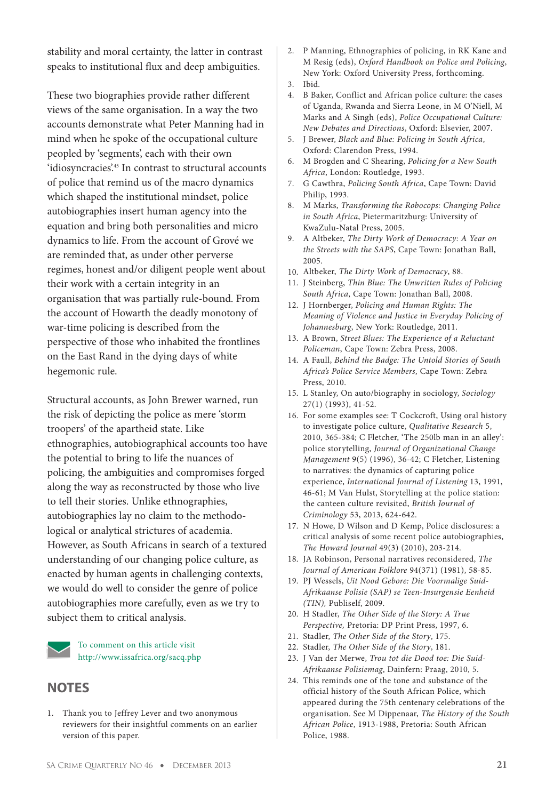stability and moral certainty, the latter in contrast speaks to institutional flux and deep ambiguities.

These two biographies provide rather different views of the same organisation. In a way the two accounts demonstrate what Peter Manning had in mind when he spoke of the occupational culture peopled by 'segments', each with their own 'idiosyncracies'.45 In contrast to structural accounts of police that remind us of the macro dynamics which shaped the institutional mindset, police autobiographies insert human agency into the equation and bring both personalities and micro dynamics to life. From the account of Grové we are reminded that, as under other perverse regimes, honest and/or diligent people went about their work with a certain integrity in an organisation that was partially rule-bound. From the account of Howarth the deadly monotony of war-time policing is described from the perspective of those who inhabited the frontlines on the East Rand in the dying days of white hegemonic rule.

Structural accounts, as John Brewer warned, run the risk of depicting the police as mere 'storm troopers' of the apartheid state. Like ethnographies, autobiographical accounts too have the potential to bring to life the nuances of policing, the ambiguities and compromises forged along the way as reconstructed by those who live to tell their stories. Unlike ethnographies, autobiographies lay no claim to the methodological or analytical strictures of academia. However, as South Africans in search of a textured understanding of our changing police culture, as enacted by human agents in challenging contexts, we would do well to consider the genre of police autobiographies more carefully, even as we try to subject them to critical analysis.

> To comment on this article visit http://www.issafrica.org/sacq.php

#### **NOTES**

1. Thank you to Jeffrey Lever and two anonymous reviewers for their insightful comments on an earlier version of this paper.

- 2. P Manning, Ethnographies of policing, in RK Kane and M Resig (eds), *Oxford Handbook on Police and Policing*, New York: Oxford University Press, forthcoming.
- 3. Ibid.
- 4. B Baker, Conflict and African police culture: the cases of Uganda, Rwanda and Sierra Leone, in M O'Niell, M Marks and A Singh (eds), *Police Occupational Culture: New Debates and Directions*, Oxford: Elsevier, 2007.
- 5. J Brewer, *Black and Blue: Policing in South Africa*, Oxford: Clarendon Press, 1994.
- 6. M Brogden and C Shearing, *Policing for a New South Africa*, London: Routledge, 1993.
- 7. G Cawthra, *Policing South Africa*, Cape Town: David Philip, 1993.
- 8. M Marks, *Transforming the Robocops: Changing Police in South Africa*, Pietermaritzburg: University of KwaZulu-Natal Press, 2005.
- 9. A Altbeker, *The Dirty Work of Democracy: A Year on the Streets with the SAPS*, Cape Town: Jonathan Ball, 2005.
- 10. Altbeker, *The Dirty Work of Democracy*, 88.
- 11. J Steinberg, *Thin Blue: The Unwritten Rules of Policing South Africa*, Cape Town: Jonathan Ball, 2008.
- 12. J Hornberger, *Policing and Human Rights: The Meaning of Violence and Justice in Everyday Policing of Johannesburg*, New York: Routledge, 2011.
- 13. A Brown, *Street Blues: The Experience of a Reluctant Policeman*, Cape Town: Zebra Press, 2008.
- 14. A Faull, *Behind the Badge: The Untold Stories of South Africa's Police Service Members*, Cape Town: Zebra Press, 2010.
- 15. L Stanley, On auto/biography in sociology, *Sociology* 27(1) (1993), 41-52.
- 16. For some examples see: T Cockcroft, Using oral history to investigate police culture, *Qualitative Research* 5, 2010, 365-384; C Fletcher, 'The 250lb man in an alley': police storytelling, *Journal of Organizational Change Management* 9(5) (1996), 36-42; C Fletcher, Listening to narratives: the dynamics of capturing police experience, *International Journal of Listening* 13, 1991, 46-61; M Van Hulst, Storytelling at the police station: the canteen culture revisited, *British Journal of Criminology* 53, 2013, 624-642.
- 17. N Howe, D Wilson and D Kemp, Police disclosures: a critical analysis of some recent police autobiographies, *The Howard Journal* 49(3) (2010), 203-214.
- 18. JA Robinson, Personal narratives reconsidered, *The Journal of American Folklore* 94(371) (1981), 58-85.
- 19. PJ Wessels, *Uit Nood Gebore: Die Voormalige Suid-Afrikaanse Polisie (SAP) se Teen-Insurgensie Eenheid (TIN),* Publiself, 2009.
- 20. H Stadler, *The Other Side of the Story: A True Perspective,* Pretoria: DP Print Press, 1997, 6.
- 21. Stadler, *The Other Side of the Story*, 175.
- 22. Stadler, *The Other Side of the Story*, 181.
- 23. J Van der Merwe, *Trou tot die Dood toe: Die Suid-Afrikaanse Polisiemag*, Dainfern: Praag, 2010, 5.
- 24. This reminds one of the tone and substance of the official history of the South African Police, which appeared during the 75th centenary celebrations of the organisation. See M Dippenaar, *The History of the South African Police*, 1913-1988, Pretoria: South African Police, 1988.